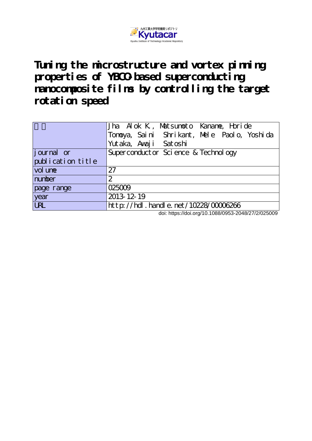

**Tuning the microstructure and vortex pinning properties of YBCO-based superconducting nanocomposite films by controlling the target rotation speed**

| 'Tonoya, Saini Shrikant, Mele Paolo, Yoshida<br>Yutaka, Awaji Satoshi<br>Superconduct or Sci ence & Technology<br>27<br>number<br>2<br>025009<br>2013-12-19 |                   | Jha Alok K, Matsumoto Kaname, Horide |
|-------------------------------------------------------------------------------------------------------------------------------------------------------------|-------------------|--------------------------------------|
|                                                                                                                                                             |                   |                                      |
|                                                                                                                                                             |                   |                                      |
|                                                                                                                                                             | journal or        |                                      |
|                                                                                                                                                             | publication title |                                      |
|                                                                                                                                                             | vol une           |                                      |
|                                                                                                                                                             |                   |                                      |
|                                                                                                                                                             | page range        |                                      |
|                                                                                                                                                             | year              |                                      |
|                                                                                                                                                             | <b>URL</b>        | http://hdl.handle.net/10228/00006266 |

doi: https://doi.org/10.1088/0953-2048/27/2/025009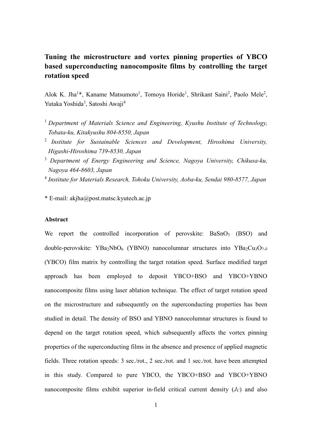## **Tuning the microstructure and vortex pinning properties of YBCO based superconducting nanocomposite films by controlling the target rotation speed**

Alok K. Jha<sup>1\*</sup>, Kaname Matsumoto<sup>1</sup>, Tomoya Horide<sup>1</sup>, Shrikant Saini<sup>2</sup>, Paolo Mele<sup>2</sup>, Yutaka Yoshida<sup>3</sup>, Satoshi Awaji<sup>4</sup>

- <sup>1</sup> *Department of Materials Science and Engineering, Kyushu Institute of Technology, Tobata-ku, Kitakyushu 804-8550, Japan*
- 2 *Institute for Sustainable Sciences and Development, Hiroshima University, Higashi-Hiroshima 739-8530, Japan*
- <sup>3</sup> *Department of Energy Engineering and Science, Nagoya University, Chikusa-ku, Nagoya 464-8603, Japan*
- 4 *Institute for Materials Research, Tohoku University, Aoba-ku, Sendai 980-8577, Japan*

\* E-mail: akjha@post.matsc.kyutech.ac.jp

### **Abstract**

We report the controlled incorporation of perovskite: BaSnO<sub>3</sub> (BSO) and double-perovskite: YBa<sub>2</sub>NbO<sub>6</sub> (YBNO) nanocolumnar structures into YBa<sub>2</sub>Cu<sub>3</sub>O<sub>7-δ</sub> (YBCO) film matrix by controlling the target rotation speed. Surface modified target approach has been employed to deposit YBCO+BSO and YBCO+YBNO nanocomposite films using laser ablation technique. The effect of target rotation speed on the microstructure and subsequently on the superconducting properties has been studied in detail. The density of BSO and YBNO nanocolumnar structures is found to depend on the target rotation speed, which subsequently affects the vortex pinning properties of the superconducting films in the absence and presence of applied magnetic fields. Three rotation speeds: 3 sec./rot., 2 sec./rot. and 1 sec./rot. have been attempted in this study. Compared to pure YBCO, the YBCO+BSO and YBCO+YBNO nanocomposite films exhibit superior in-field critical current density  $(J_C)$  and also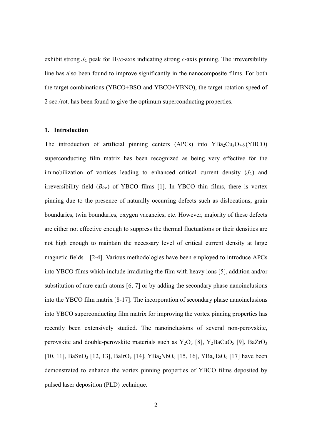exhibit strong  $J_C$  peak for  $H//c$ -axis indicating strong *c*-axis pinning. The irreversibility line has also been found to improve significantly in the nanocomposite films. For both the target combinations (YBCO+BSO and YBCO+YBNO), the target rotation speed of 2 sec./rot. has been found to give the optimum superconducting properties.

#### **1. Introduction**

The introduction of artificial pinning centers (APCs) into  $YBa_2Cu_3O_{7-\delta}(YBCO)$ superconducting film matrix has been recognized as being very effective for the immobilization of vortices leading to enhanced critical current density  $(J_C)$  and irreversibility field (*Birr.*) of YBCO films [1]. In YBCO thin films, there is vortex pinning due to the presence of naturally occurring defects such as dislocations, grain boundaries, twin boundaries, oxygen vacancies, etc. However, majority of these defects are either not effective enough to suppress the thermal fluctuations or their densities are not high enough to maintain the necessary level of critical current density at large magnetic fields [2-4]. Various methodologies have been employed to introduce APCs into YBCO films which include irradiating the film with heavy ions [5], addition and/or substitution of rare-earth atoms [6, 7] or by adding the secondary phase nanoinclusions into the YBCO film matrix [8-17]. The incorporation of secondary phase nanoinclusions into YBCO superconducting film matrix for improving the vortex pinning properties has recently been extensively studied. The nanoinclusions of several non-perovskite, perovskite and double-perovskite materials such as  $Y_2O_3$  [8],  $Y_2BaCuO_5$  [9], BaZrO<sub>3</sub> [10, 11], BaSnO<sub>3</sub> [12, 13], BaIrO<sub>3</sub> [14], YBa<sub>2</sub>NbO<sub>6</sub> [15, 16], YBa<sub>2</sub>TaO<sub>6</sub> [17] have been demonstrated to enhance the vortex pinning properties of YBCO films deposited by pulsed laser deposition (PLD) technique.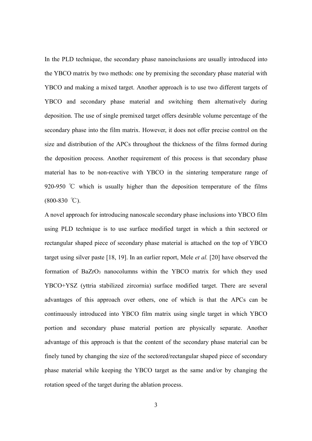In the PLD technique, the secondary phase nanoinclusions are usually introduced into the YBCO matrix by two methods: one by premixing the secondary phase material with YBCO and making a mixed target. Another approach is to use two different targets of YBCO and secondary phase material and switching them alternatively during deposition. The use of single premixed target offers desirable volume percentage of the secondary phase into the film matrix. However, it does not offer precise control on the size and distribution of the APCs throughout the thickness of the films formed during the deposition process. Another requirement of this process is that secondary phase material has to be non-reactive with YBCO in the sintering temperature range of 920-950 ℃ which is usually higher than the deposition temperature of the films  $(800-830 \degree C)$ .

A novel approach for introducing nanoscale secondary phase inclusions into YBCO film using PLD technique is to use surface modified target in which a thin sectored or rectangular shaped piece of secondary phase material is attached on the top of YBCO target using silver paste [18, 19]. In an earlier report, Mele *et al.* [20] have observed the formation of  $BaZrO<sub>3</sub>$  nanocolumns within the YBCO matrix for which they used YBCO+YSZ (yttria stabilized zircornia) surface modified target. There are several advantages of this approach over others, one of which is that the APCs can be continuously introduced into YBCO film matrix using single target in which YBCO portion and secondary phase material portion are physically separate. Another advantage of this approach is that the content of the secondary phase material can be finely tuned by changing the size of the sectored/rectangular shaped piece of secondary phase material while keeping the YBCO target as the same and/or by changing the rotation speed of the target during the ablation process.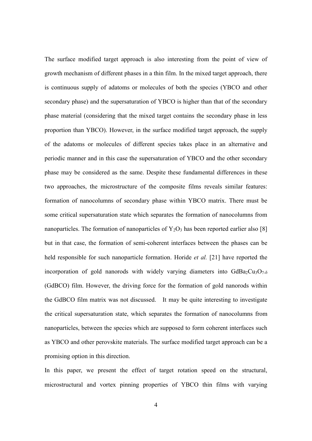The surface modified target approach is also interesting from the point of view of growth mechanism of different phases in a thin film. In the mixed target approach, there is continuous supply of adatoms or molecules of both the species (YBCO and other secondary phase) and the supersaturation of YBCO is higher than that of the secondary phase material (considering that the mixed target contains the secondary phase in less proportion than YBCO). However, in the surface modified target approach, the supply of the adatoms or molecules of different species takes place in an alternative and periodic manner and in this case the supersaturation of YBCO and the other secondary phase may be considered as the same. Despite these fundamental differences in these two approaches, the microstructure of the composite films reveals similar features: formation of nanocolumns of secondary phase within YBCO matrix. There must be some critical supersaturation state which separates the formation of nanocolumns from nanoparticles. The formation of nanoparticles of  $Y_2O_3$  has been reported earlier also [8] but in that case, the formation of semi-coherent interfaces between the phases can be held responsible for such nanoparticle formation. Horide *et al.* [21] have reported the incorporation of gold nanorods with widely varying diameters into  $GdBa_2Cu_3O<sub>7-</sub>$ (GdBCO) film. However, the driving force for the formation of gold nanorods within the GdBCO film matrix was not discussed. It may be quite interesting to investigate the critical supersaturation state, which separates the formation of nanocolumns from nanoparticles, between the species which are supposed to form coherent interfaces such as YBCO and other perovskite materials. The surface modified target approach can be a promising option in this direction.

In this paper, we present the effect of target rotation speed on the structural, microstructural and vortex pinning properties of YBCO thin films with varying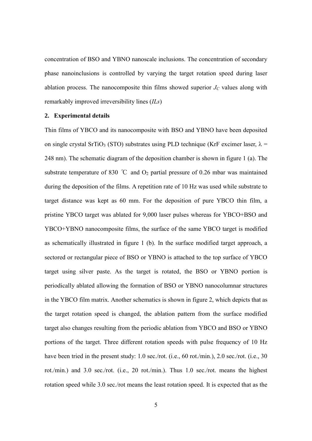concentration of BSO and YBNO nanoscale inclusions. The concentration of secondary phase nanoinclusions is controlled by varying the target rotation speed during laser ablation process. The nanocomposite thin films showed superior  $J_C$  values along with remarkably improved irreversibility lines (*ILs*)

#### **2. Experimental details**

Thin films of YBCO and its nanocomposite with BSO and YBNO have been deposited on single crystal SrTiO<sub>3</sub> (STO) substrates using PLD technique (KrF excimer laser,  $\lambda$  = 248 nm). The schematic diagram of the deposition chamber is shown in figure 1 (a). The substrate temperature of 830 °C and  $O_2$  partial pressure of 0.26 mbar was maintained during the deposition of the films. A repetition rate of 10 Hz was used while substrate to target distance was kept as 60 mm. For the deposition of pure YBCO thin film, a pristine YBCO target was ablated for 9,000 laser pulses whereas for YBCO+BSO and YBCO+YBNO nanocomposite films, the surface of the same YBCO target is modified as schematically illustrated in figure 1 (b). In the surface modified target approach, a sectored or rectangular piece of BSO or YBNO is attached to the top surface of YBCO target using silver paste. As the target is rotated, the BSO or YBNO portion is periodically ablated allowing the formation of BSO or YBNO nanocolumnar structures in the YBCO film matrix. Another schematics is shown in figure 2, which depicts that as the target rotation speed is changed, the ablation pattern from the surface modified target also changes resulting from the periodic ablation from YBCO and BSO or YBNO portions of the target. Three different rotation speeds with pulse frequency of 10 Hz have been tried in the present study: 1.0 sec./rot. (i.e., 60 rot./min.), 2.0 sec./rot. (i.e., 30 rot./min.) and 3.0 sec./rot. (i.e., 20 rot./min.). Thus 1.0 sec./rot. means the highest rotation speed while 3.0 sec./rot means the least rotation speed. It is expected that as the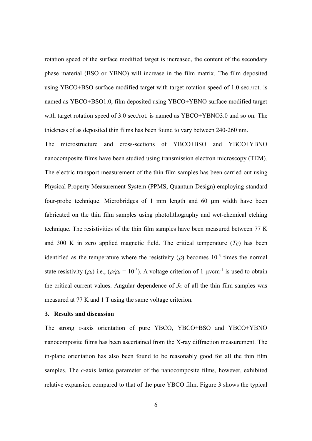rotation speed of the surface modified target is increased, the content of the secondary phase material (BSO or YBNO) will increase in the film matrix. The film deposited using YBCO+BSO surface modified target with target rotation speed of 1.0 sec./rot. is named as YBCO+BSO1.0, film deposited using YBCO+YBNO surface modified target with target rotation speed of 3.0 sec./rot. is named as YBCO+YBNO3.0 and so on. The thickness of as deposited thin films has been found to vary between 240-260 nm.

The microstructure and cross-sections of YBCO+BSO and YBCO+YBNO nanocomposite films have been studied using transmission electron microscopy (TEM). The electric transport measurement of the thin film samples has been carried out using Physical Property Measurement System (PPMS, Quantum Design) employing standard four-probe technique. Microbridges of 1 mm length and 60  $\mu$ m width have been fabricated on the thin film samples using photolithography and wet-chemical etching technique. The resistivities of the thin film samples have been measured between 77 K and 300 K in zero applied magnetic field. The critical temperature  $(T_C)$  has been identified as the temperature where the resistivity ( $\rho$ ) becomes 10<sup>-3</sup> times the normal state resistivity ( $\rho_n$ ) i.e., ( $\rho/\rho_n = 10^{-3}$ ). A voltage criterion of 1  $\mu$ vcm<sup>-1</sup> is used to obtain the critical current values. Angular dependence of  $J<sub>C</sub>$  of all the thin film samples was measured at 77 K and 1 T using the same voltage criterion.

#### **3. Results and discussion**

The strong *c-*axis orientation of pure YBCO, YBCO+BSO and YBCO+YBNO nanocomposite films has been ascertained from the X-ray diffraction measurement. The in-plane orientation has also been found to be reasonably good for all the thin film samples. The *c-*axis lattice parameter of the nanocomposite films, however, exhibited relative expansion compared to that of the pure YBCO film. Figure 3 shows the typical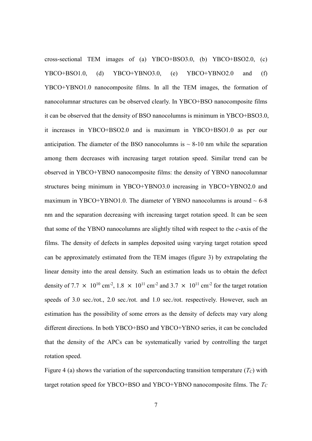cross-sectional TEM images of (a) YBCO+BSO3.0, (b) YBCO+BSO2.0, (c) YBCO+BSO1.0, (d) YBCO+YBNO3.0, (e) YBCO+YBNO2.0 and (f) YBCO+YBNO1.0 nanocomposite films. In all the TEM images, the formation of nanocolumnar structures can be observed clearly. In YBCO+BSO nanocomposite films it can be observed that the density of BSO nanocolumns is minimum in YBCO+BSO3.0, it increases in YBCO+BSO2.0 and is maximum in YBCO+BSO1.0 as per our anticipation. The diameter of the BSO nanocolumns is  $\sim 8\times 10$  nm while the separation among them decreases with increasing target rotation speed. Similar trend can be observed in YBCO+YBNO nanocomposite films: the density of YBNO nanocolumnar structures being minimum in YBCO+YBNO3.0 increasing in YBCO+YBNO2.0 and maximum in YBCO+YBNO1.0. The diameter of YBNO nanocolumns is around  $\sim 6-8$ nm and the separation decreasing with increasing target rotation speed. It can be seen that some of the YBNO nanocolumns are slightly tilted with respect to the *c-*axis of the films. The density of defects in samples deposited using varying target rotation speed can be approximately estimated from the TEM images (figure 3) by extrapolating the linear density into the areal density. Such an estimation leads us to obtain the defect density of 7.7  $\times$  10<sup>10</sup> cm<sup>-2</sup>, 1.8  $\times$  10<sup>11</sup> cm<sup>-2</sup> and 3.7  $\times$  10<sup>11</sup> cm<sup>-2</sup> for the target rotation speeds of 3.0 sec./rot., 2.0 sec./rot. and 1.0 sec./rot. respectively. However, such an estimation has the possibility of some errors as the density of defects may vary along different directions. In both YBCO+BSO and YBCO+YBNO series, it can be concluded that the density of the APCs can be systematically varied by controlling the target rotation speed.

Figure 4 (a) shows the variation of the superconducting transition temperature  $(T_C)$  with target rotation speed for YBCO+BSO and YBCO+YBNO nanocomposite films. The *TC*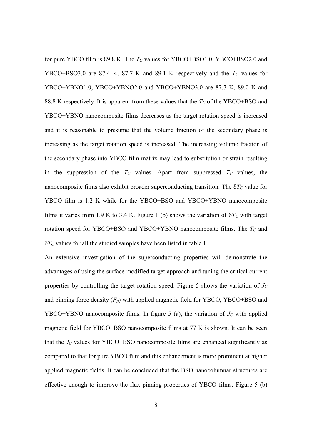for pure YBCO film is 89.8 K. The *T<sup>C</sup>* values for YBCO+BSO1.0, YBCO+BSO2.0 and YBCO+BSO3.0 are 87.4 K, 87.7 K and 89.1 K respectively and the  $T_C$  values for YBCO+YBNO1.0, YBCO+YBNO2.0 and YBCO+YBNO3.0 are 87.7 K, 89.0 K and 88.8 K respectively. It is apparent from these values that the *T<sup>C</sup>* of the YBCO+BSO and YBCO+YBNO nanocomposite films decreases as the target rotation speed is increased and it is reasonable to presume that the volume fraction of the secondary phase is increasing as the target rotation speed is increased. The increasing volume fraction of the secondary phase into YBCO film matrix may lead to substitution or strain resulting in the suppression of the  $T_c$  values. Apart from suppressed  $T_c$  values, the nanocomposite films also exhibit broader superconducting transition. The  $\delta T_C$  value for YBCO film is 1.2 K while for the YBCO+BSO and YBCO+YBNO nanocomposite films it varies from 1.9 K to 3.4 K. Figure 1 (b) shows the variation of  $\delta T_C$  with target rotation speed for YBCO+BSO and YBCO+YBNO nanocomposite films. The *T<sup>C</sup>* and  $\delta T_C$  values for all the studied samples have been listed in table 1.

An extensive investigation of the superconducting properties will demonstrate the advantages of using the surface modified target approach and tuning the critical current properties by controlling the target rotation speed. Figure 5 shows the variation of *J<sup>C</sup>* and pinning force density  $(F_p)$  with applied magnetic field for YBCO, YBCO+BSO and YBCO+YBNO nanocomposite films. In figure 5 (a), the variation of  $J<sub>C</sub>$  with applied magnetic field for YBCO+BSO nanocomposite films at 77 K is shown. It can be seen that the  $J_C$  values for YBCO+BSO nanocomposite films are enhanced significantly as compared to that for pure YBCO film and this enhancement is more prominent at higher applied magnetic fields. It can be concluded that the BSO nanocolumnar structures are effective enough to improve the flux pinning properties of YBCO films. Figure 5 (b)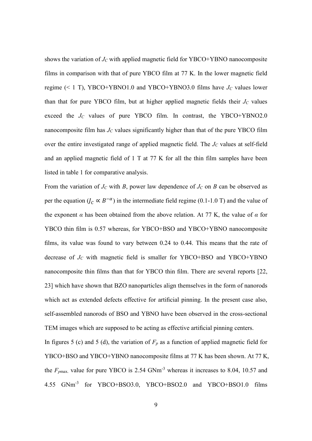shows the variation of  $J_C$  with applied magnetic field for YBCO+YBNO nanocomposite films in comparison with that of pure YBCO film at 77 K. In the lower magnetic field regime (< 1 T), YBCO+YBNO1.0 and YBCO+YBNO3.0 films have  $J_C$  values lower than that for pure YBCO film, but at higher applied magnetic fields their  $J_C$  values exceed the  $J_C$  values of pure YBCO film. In contrast, the YBCO+YBNO2.0 nanocomposite film has  $J_C$  values significantly higher than that of the pure YBCO film over the entire investigated range of applied magnetic field. The  $J_C$  values at self-field and an applied magnetic field of 1 T at 77 K for all the thin film samples have been listed in table 1 for comparative analysis.

From the variation of  $J_C$  with  $B$ , power law dependence of  $J_C$  on  $B$  can be observed as per the equation  $(J_C \propto B^{-\alpha})$  in the intermediate field regime (0.1-1.0 T) and the value of the exponent  $\alpha$  has been obtained from the above relation. At 77 K, the value of  $\alpha$  for YBCO thin film is 0.57 whereas, for YBCO+BSO and YBCO+YBNO nanocomposite films, its value was found to vary between 0.24 to 0.44. This means that the rate of decrease of *J<sup>C</sup>* with magnetic field is smaller for YBCO+BSO and YBCO+YBNO nanocomposite thin films than that for YBCO thin film. There are several reports [22, 23] which have shown that BZO nanoparticles align themselves in the form of nanorods which act as extended defects effective for artificial pinning. In the present case also, self-assembled nanorods of BSO and YBNO have been observed in the cross-sectional TEM images which are supposed to be acting as effective artificial pinning centers.

In figures 5 (c) and 5 (d), the variation of  $F_p$  as a function of applied magnetic field for YBCO+BSO and YBCO+YBNO nanocomposite films at 77 K has been shown. At 77 K, the  $F_{pmax}$  value for pure YBCO is 2.54 GNm<sup>-3</sup> whereas it increases to 8.04, 10.57 and 4.55 GNm-3 for YBCO+BSO3.0, YBCO+BSO2.0 and YBCO+BSO1.0 films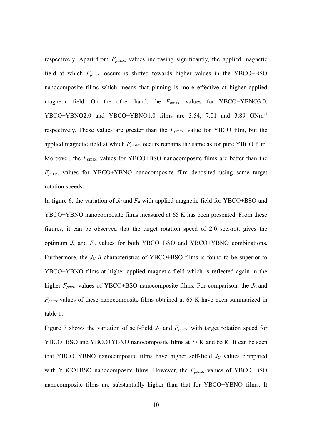respectively. Apart from  $F_{pmax}$  values increasing significantly, the applied magnetic field at which *Fp*max. occurs is shifted towards higher values in the YBCO+BSO nanocomposite films which means that pinning is more effective at higher applied magnetic field. On the other hand, the *Fp*max. values for YBCO+YBNO3.0, YBCO+YBNO2.0 and YBCO+YBNO1.0 films are 3.54, 7.01 and 3.89 GNm<sup>-3</sup> respectively. These values are greater than the  $F_{pmax}$  value for YBCO film, but the applied magnetic field at which  $F_{pmax}$  occurs remains the same as for pure YBCO film. Moreover, the *Fp*max. values for YBCO+BSO nanocomposite films are better than the *Fp*max. values for YBCO+YBNO nanocomposite film deposited using same target rotation speeds.

In figure 6, the variation of  $J_C$  and  $F_p$  with applied magnetic field for YBCO+BSO and YBCO+YBNO nanocomposite films measured at 65 K has been presented. From these figures, it can be observed that the target rotation speed of 2.0 sec./rot. gives the optimum  $J_C$  and  $F_p$  values for both YBCO+BSO and YBCO+YBNO combinations. Furthermore, the *JC*-*B* characteristics of YBCO+BSO films is found to be superior to YBCO+YBNO films at higher applied magnetic field which is reflected again in the higher *Fpmax.* values of YBCO+BSO nanocomposite films. For comparison, the *JC* and *Fpmax.* values of these nanocomposite films obtained at 65 K have been summarized in table 1.

Figure 7 shows the variation of self-field *J<sup>C</sup>* and *Fpmax.* with target rotation speed for YBCO+BSO and YBCO+YBNO nanocomposite films at 77 K and 65 K. It can be seen that YBCO+YBNO nanocomposite films have higher self-field  $J<sub>C</sub>$  values compared with YBCO+BSO nanocomposite films. However, the *Fpmax.* values of YBCO+BSO nanocomposite films are substantially higher than that for YBCO+YBNO films. It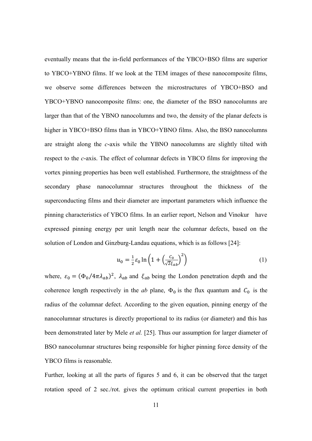eventually means that the in-field performances of the YBCO+BSO films are superior to YBCO+YBNO films. If we look at the TEM images of these nanocomposite films, we observe some differences between the microstructures of YBCO+BSO and YBCO+YBNO nanocomposite films: one, the diameter of the BSO nanocolumns are larger than that of the YBNO nanocolumns and two, the density of the planar defects is higher in YBCO+BSO films than in YBCO+YBNO films. Also, the BSO nanocolumns are straight along the *c-*axis while the YBNO nanocolumns are slightly tilted with respect to the *c-*axis. The effect of columnar defects in YBCO films for improving the vortex pinning properties has been well established. Furthermore, the straightness of the secondary phase nanocolumnar structures throughout the thickness of the superconducting films and their diameter are important parameters which influence the pinning characteristics of YBCO films. In an earlier report, Nelson and Vinokur have expressed pinning energy per unit length near the columnar defects, based on the solution of London and Ginzburg-Landau equations, which is as follows [24]:

$$
u_0 = \frac{1}{2} \varepsilon_0 \ln \left( 1 + \left( \frac{c_0}{\sqrt{2} \xi_{ab}} \right)^2 \right) \tag{1}
$$

where,  $\varepsilon_0 = (\Phi_0 / 4\pi \lambda_{ab})^2$ ,  $\lambda_{ab}$  and  $\xi_{ab}$  being the London penetration depth and the coherence length respectively in the *ab* plane,  $\Phi_0$  is the flux quantum and  $C_0$  is the radius of the columnar defect. According to the given equation, pinning energy of the nanocolumnar structures is directly proportional to its radius (or diameter) and this has been demonstrated later by Mele *et al.* [25]. Thus our assumption for larger diameter of BSO nanocolumnar structures being responsible for higher pinning force density of the YBCO films is reasonable.

Further, looking at all the parts of figures 5 and 6, it can be observed that the target rotation speed of 2 sec./rot. gives the optimum critical current properties in both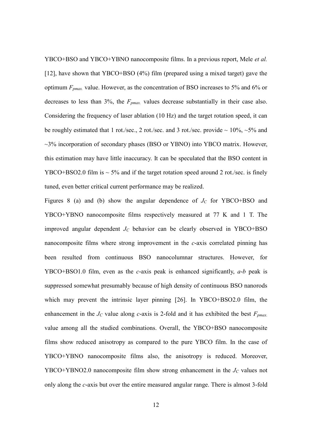YBCO+BSO and YBCO+YBNO nanocomposite films. In a previous report, Mele *et al.* [12], have shown that YBCO+BSO (4%) film (prepared using a mixed target) gave the optimum *Fpmax.* value. However, as the concentration of BSO increases to 5% and 6% or decreases to less than 3%, the *Fpmax.* values decrease substantially in their case also. Considering the frequency of laser ablation (10 Hz) and the target rotation speed, it can be roughly estimated that 1 rot./sec., 2 rot./sec. and 3 rot./sec. provide  $\sim 10\%$ ,  $\sim 5\%$  and  $\sim$ 3% incorporation of secondary phases (BSO or YBNO) into YBCO matrix. However, this estimation may have little inaccuracy. It can be speculated that the BSO content in YBCO+BSO2.0 film is  $\sim$  5% and if the target rotation speed around 2 rot./sec. is finely tuned, even better critical current performance may be realized.

Figures 8 (a) and (b) show the angular dependence of  $J_C$  for YBCO+BSO and YBCO+YBNO nanocomposite films respectively measured at 77 K and 1 T. The improved angular dependent  $J_C$  behavior can be clearly observed in YBCO+BSO nanocomposite films where strong improvement in the *c-*axis correlated pinning has been resulted from continuous BSO nanocolumnar structures. However, for YBCO+BSO1.0 film, even as the *c-*axis peak is enhanced significantly, *a-b* peak is suppressed somewhat presumably because of high density of continuous BSO nanorods which may prevent the intrinsic layer pinning [26]. In YBCO+BSO2.0 film, the enhancement in the *J<sup>C</sup>* value along *c-*axis is 2-fold and it has exhibited the best *Fpmax.* value among all the studied combinations. Overall, the YBCO+BSO nanocomposite films show reduced anisotropy as compared to the pure YBCO film. In the case of YBCO+YBNO nanocomposite films also, the anisotropy is reduced. Moreover, YBCO+YBNO2.0 nanocomposite film show strong enhancement in the *J<sup>C</sup>* values not only along the *c-*axis but over the entire measured angular range. There is almost 3-fold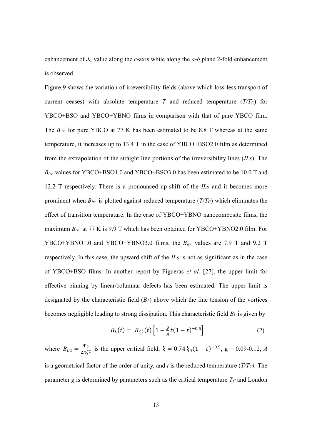enhancement of *J<sup>C</sup>* value along the *c-*axis while along the *a-b* plane 2-fold enhancement is observed.

Figure 9 shows the variation of irreversibility fields (above which loss-less transport of current ceases) with absolute temperature *T* and reduced temperature  $(T/T_C)$  for YBCO+BSO and YBCO+YBNO films in comparison with that of pure YBCO film. The *Birr.* for pure YBCO at 77 K has been estimated to be 8.8 T whereas at the same temperature, it increases up to 13.4 T in the case of YBCO+BSO2.0 film as determined from the extrapolation of the straight line portions of the irreversibility lines (*ILs*). The *Birr.* values for YBCO+BSO1.0 and YBCO+BSO3.0 has been estimated to be 10.0 T and 12.2 T respectively. There is a pronounced up-shift of the *ILs* and it becomes more prominent when *Birr.* is plotted against reduced temperature (*T/TC*) which eliminates the effect of transition temperature. In the case of YBCO+YBNO nanocomposite films, the maximum *Birr.* at 77 K is 9.9 T which has been obtained for YBCO+YBNO2.0 film. For YBCO+YBNO1.0 and YBCO+YBNO3.0 films, the *Birr.* values are 7.9 T and 9.2 T respectively. In this case, the upward shift of the *ILs* is not as significant as in the case of YBCO+BSO films. In another report by Figueras *et al.* [27], the upper limit for effective pinning by linear/columnar defects has been estimated. The upper limit is designated by the characteristic field (*BL*) above which the line tension of the vortices becomes negligible leading to strong dissipation. This characteristic field *B<sup>L</sup>* is given by

$$
B_L(t) = B_{C2}(t) \left[ 1 - \frac{g}{A} t (1 - t)^{-0.5} \right]
$$
 (2)

where  $B_{C2} = \frac{\Phi_0}{2\pi\epsilon}$  $\frac{\Phi_0}{2\pi\xi^2}$  is the upper critical field,  $\xi = 0.74 \xi_0 (1 - t)^{-0.5}$ ,  $g = 0.09$ -0.12, *A* is a geometrical factor of the order of unity, and *t* is the reduced temperature (*T/TC).* The parameter *g* is determined by parameters such as the critical temperature *T<sup>C</sup>* and London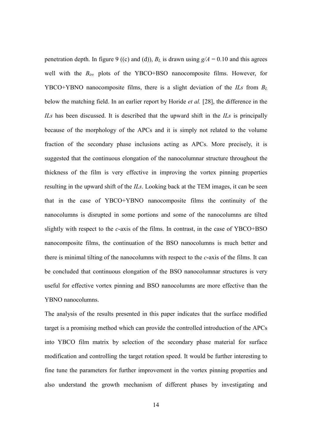penetration depth. In figure 9 ((c) and (d)),  $B_L$  is drawn using  $g/A = 0.10$  and this agrees well with the *Birr.* plots of the YBCO+BSO nanocomposite films. However, for YBCO+YBNO nanocomposite films, there is a slight deviation of the *ILs* from *B<sup>L</sup>* below the matching field. In an earlier report by Horide *et al.* [28], the difference in the *ILs* has been discussed. It is described that the upward shift in the *ILs* is principally because of the morphology of the APCs and it is simply not related to the volume fraction of the secondary phase inclusions acting as APCs. More precisely, it is suggested that the continuous elongation of the nanocolumnar structure throughout the thickness of the film is very effective in improving the vortex pinning properties resulting in the upward shift of the *ILs*. Looking back at the TEM images, it can be seen that in the case of YBCO+YBNO nanocomposite films the continuity of the nanocolumns is disrupted in some portions and some of the nanocolumns are tilted slightly with respect to the *c-*axis of the films. In contrast, in the case of YBCO+BSO nanocomposite films, the continuation of the BSO nanocolumns is much better and there is minimal tilting of the nanocolumns with respect to the *c-*axis of the films. It can be concluded that continuous elongation of the BSO nanocolumnar structures is very useful for effective vortex pinning and BSO nanocolumns are more effective than the YBNO nanocolumns.

The analysis of the results presented in this paper indicates that the surface modified target is a promising method which can provide the controlled introduction of the APCs into YBCO film matrix by selection of the secondary phase material for surface modification and controlling the target rotation speed. It would be further interesting to fine tune the parameters for further improvement in the vortex pinning properties and also understand the growth mechanism of different phases by investigating and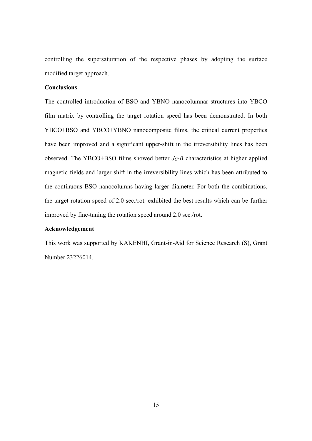controlling the supersaturation of the respective phases by adopting the surface modified target approach.

### **Conclusions**

The controlled introduction of BSO and YBNO nanocolumnar structures into YBCO film matrix by controlling the target rotation speed has been demonstrated. In both YBCO+BSO and YBCO+YBNO nanocomposite films, the critical current properties have been improved and a significant upper-shift in the irreversibility lines has been observed. The YBCO+BSO films showed better  $J_C$ -B characteristics at higher applied magnetic fields and larger shift in the irreversibility lines which has been attributed to the continuous BSO nanocolumns having larger diameter. For both the combinations, the target rotation speed of 2.0 sec./rot. exhibited the best results which can be further improved by fine-tuning the rotation speed around 2.0 sec./rot.

### **Acknowledgement**

This work was supported by KAKENHI, Grant-in-Aid for Science Research (S), Grant Number 23226014.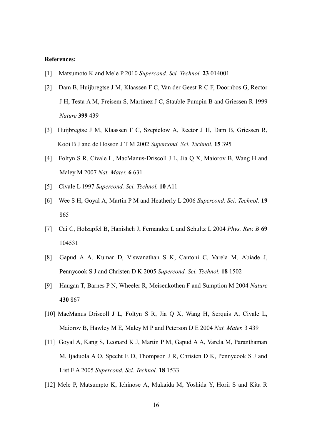#### **References:**

- [1] Matsumoto K and Mele P 2010 *Supercond. Sci. Technol.* **23** 014001
- [2] Dam B, Huijbregtse J M, Klaassen F C, Van der Geest R C F, Doornbos G, Rector J H, Testa A M, Freisem S, Martinez J C, Stauble-Pumpin B and Griessen R 1999 *Nature* **399** 439
- [3] Huijbregtse J M, Klaassen F C, Szepielow A, Rector J H, Dam B, Griessen R, Kooi B J and de Hosson J T M 2002 *Supercond. Sci. Technol.* **15** 395
- [4] Foltyn S R, Civale L, MacManus-Driscoll J L, Jia Q X, Maiorov B, Wang H and Maley M 2007 *Nat. Mater.* **6** 631
- [5] Civale L 1997 *Supercond. Sci. Technol.* **10** A11
- [6] Wee S H, Goyal A, Martin P M and Heatherly L 2006 *Supercond. Sci. Technol.* **19** 865
- [7] Cai C, Holzapfel B, Hanishch J, Fernandez L and Schultz L 2004 *Phys. Rev. B* **69** 104531
- [8] Gapud A A, Kumar D, Viswanathan S K, Cantoni C, Varela M, Abiade J, Pennycook S J and Christen D K 2005 *Supercond. Sci. Technol.* **18** 1502
- [9] Haugan T, Barnes P N, Wheeler R, Meisenkothen F and Sumption M 2004 *Nature* **430** 867
- [10] MacManus Driscoll J L, Foltyn S R, Jia Q X, Wang H, Serquis A, Civale L, Maiorov B, Hawley M E, Maley M P and Peterson D E 2004 *Nat. Mater.* 3 439
- [11] Goyal A, Kang S, Leonard K J, Martin P M, Gapud A A, Varela M, Paranthaman M, Ijaduola A O, Specht E D, Thompson J R, Christen D K, Pennycook S J and List F A 2005 *Supercond. Sci. Technol.* **18** 1533
- [12] Mele P, Matsumpto K, Ichinose A, Mukaida M, Yoshida Y, Horii S and Kita R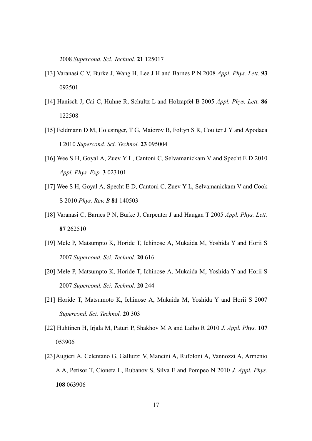2008 *Supercond. Sci. Technol.* **21** 125017

- [13] Varanasi C V, Burke J, Wang H, Lee J H and Barnes P N 2008 *Appl. Phys. Lett.* **93** 092501
- [14] Hanisch J, Cai C, Huhne R, Schultz L and Holzapfel B 2005 *Appl. Phys. Lett.* **86** 122508
- [15] Feldmann D M, Holesinger, T G, Maiorov B, Foltyn S R, Coulter J Y and Apodaca I 2010 *Supercond. Sci. Technol.* **23** 095004
- [16] Wee S H, Goyal A, Zuev Y L, Cantoni C, Selvamanickam V and Specht E D 2010 *Appl. Phys. Exp.* **3** 023101
- [17] Wee S H, Goyal A, Specht E D, Cantoni C, Zuev Y L, Selvamanickam V and Cook S 2010 *Phys. Rev. B* **81** 140503
- [18] Varanasi C, Barnes P N, Burke J, Carpenter J and Haugan T 2005 *Appl. Phys. Lett.* **87** 262510
- [19] Mele P, Matsumpto K, Horide T, Ichinose A, Mukaida M, Yoshida Y and Horii S 2007 *Supercond. Sci. Technol.* **20** 616
- [20] Mele P, Matsumpto K, Horide T, Ichinose A, Mukaida M, Yoshida Y and Horii S 2007 *Supercond. Sci. Technol.* **20** 244
- [21] Horide T, Matsumoto K, Ichinose A, Mukaida M, Yoshida Y and Horii S 2007 *Supercond. Sci. Technol.* **20** 303
- [22] Huhtinen H, Irjala M, Paturi P, Shakhov M A and Laiho R 2010 *J. Appl. Phys.* **107** 053906
- [23]Augieri A, Celentano G, Galluzzi V, Mancini A, Rufoloni A, Vannozzi A, Armenio A A, Petisor T, Cioneta L, Rubanov S, Silva E and Pompeo N 2010 *J. Appl. Phys.* **108** 063906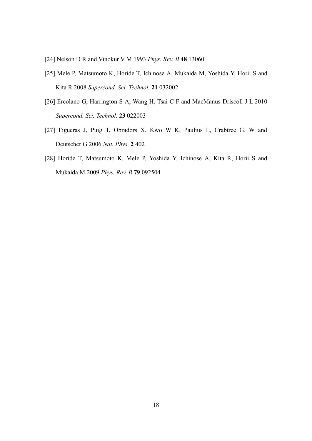- [24] Nelson D R and Vinokur V M 1993 *Phys. Rev. B* **48** 13060
- [25] Mele P, Matsumoto K, Horide T, Ichinose A, Mukaida M, Yoshida Y, Horii S and Kita R 2008 *Supercond. Sci. Technol.* **21** 032002
- [26] Ercolano G, Harrington S A, Wang H, Tsai C F and MacManus-Driscoll J L 2010 *Supercond. Sci. Technol.* **23** 022003
- [27] Figueras J, Puig T, Obradors X, Kwo W K, Paulius L, Crabtree G. W and Deutscher G 2006 *Nat. Phys.* **2** 402
- [28] Horide T, Matsumoto K, Mele P, Yoshida Y, Ichinose A, Kita R, Horii S and Mukaida M 2009 *Phys. Rev. B* **79** 092504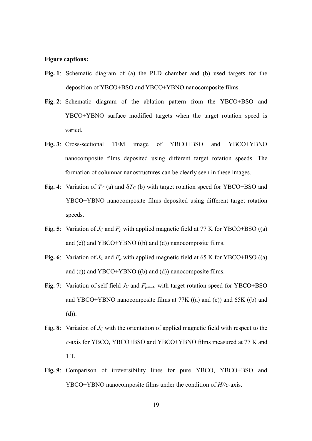#### **Figure captions:**

- **Fig. 1**: Schematic diagram of (a) the PLD chamber and (b) used targets for the deposition of YBCO+BSO and YBCO+YBNO nanocomposite films.
- **Fig. 2**: Schematic diagram of the ablation pattern from the YBCO+BSO and YBCO+YBNO surface modified targets when the target rotation speed is varied.
- **Fig. 3**: Cross-sectional TEM image of YBCO+BSO and YBCO+YBNO nanocomposite films deposited using different target rotation speeds. The formation of columnar nanostructures can be clearly seen in these images.
- **Fig.** 4: Variation of  $T_c$  (a) and  $\delta T_c$  (b) with target rotation speed for YBCO+BSO and YBCO+YBNO nanocomposite films deposited using different target rotation speeds.
- **Fig. 5**: Variation of  $J_C$  and  $F_p$  with applied magnetic field at 77 K for YBCO+BSO ((a) and (c)) and YBCO+YBNO ((b) and (d)) nanocomposite films.
- **Fig. 6**: Variation of  $J_C$  and  $F_p$  with applied magnetic field at 65 K for YBCO+BSO ((a) and (c)) and YBCO+YBNO ((b) and (d)) nanocomposite films.
- **Fig. 7**: Variation of self-field *J<sup>C</sup>* and *Fpmax.* with target rotation speed for YBCO+BSO and YBCO+YBNO nanocomposite films at 77K ((a) and (c)) and 65K ((b) and (d)).
- **Fig. 8**: Variation of *J<sup>C</sup>* with the orientation of applied magnetic field with respect to the *c-*axis for YBCO, YBCO+BSO and YBCO+YBNO films measured at 77 K and 1 T.
- **Fig. 9**: Comparison of irreversibility lines for pure YBCO, YBCO+BSO and YBCO+YBNO nanocomposite films under the condition of *H//c-*axis.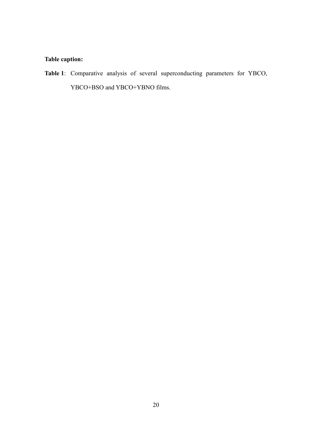### **Table caption:**

**Table 1**: Comparative analysis of several superconducting parameters for YBCO, YBCO+BSO and YBCO+YBNO films.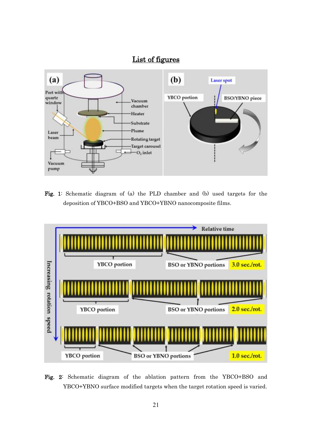# List of figures



Fig. 1: Schematic diagram of (a) the PLD chamber and (b) used targets for the deposition of YBCO+BSO and YBCO+YBNO nanocomposite films.



Fig. 2: Schematic diagram of the ablation pattern from the YBCO+BSO and YBCO+YBNO surface modified targets when the target rotation speed is varied.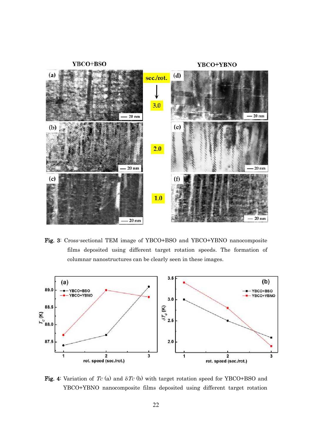YBCO+BSO

YBCO+YBNO



Fig. 3: Cross-sectional TEM image of YBCO+BSO and YBCO+YBNO nanocomposite films deposited using different target rotation speeds. The formation of columnar nanostructures can be clearly seen in these images.



Fig. 4: Variation of  $T_c$  (a) and  $\delta T_c$  (b) with target rotation speed for YBCO+BSO and YBCO+YBNO nanocomposite films deposited using different target rotation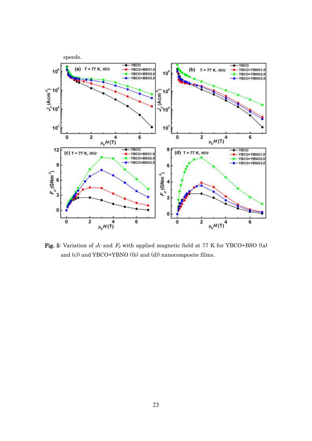

Fig. 5: Variation of  $J_C$  and  $F_p$  with applied magnetic field at 77 K for YBCO+BSO ((a) and (c)) and YBCO+YBNO ((b) and (d)) nanocomposite films.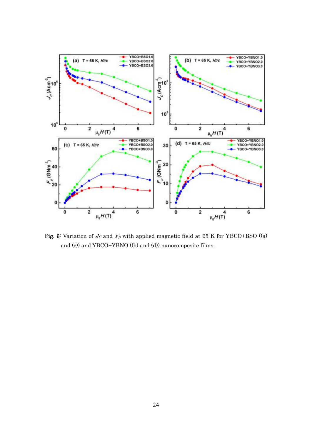

**Fig. 6:** Variation of  $J_c$  and  $F_p$  with applied magnetic field at 65 K for YBCO+BSO ((a) and (c)) and YBCO+YBNO ((b) and (d)) nanocomposite films.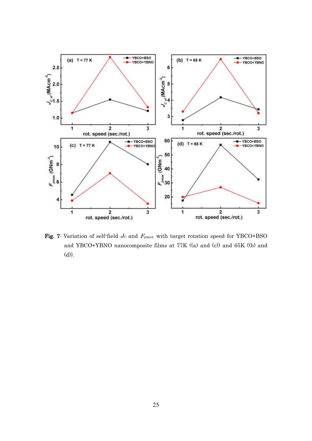

Fig. 7: Variation of self-field  $J_C$  and  $F_{pmax}$  with target rotation speed for YBCO+BSO and YBCO+YBNO nanocomposite films at 77K ((a) and (c)) and 65K ((b) and (d)).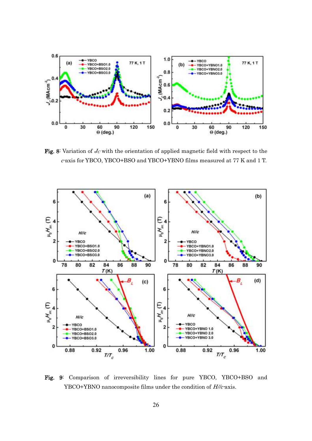

Fig. 8: Variation of  $J<sub>C</sub>$  with the orientation of applied magnetic field with respect to the c-axis for YBCO, YBCO+BSO and YBCO+YBNO films measured at 77 K and 1 T.



Fig. 9: Comparison of irreversibility lines for pure YBCO, YBCO+BSO and YBCO+YBNO nanocomposite films under the condition of  $H/c$ -axis.